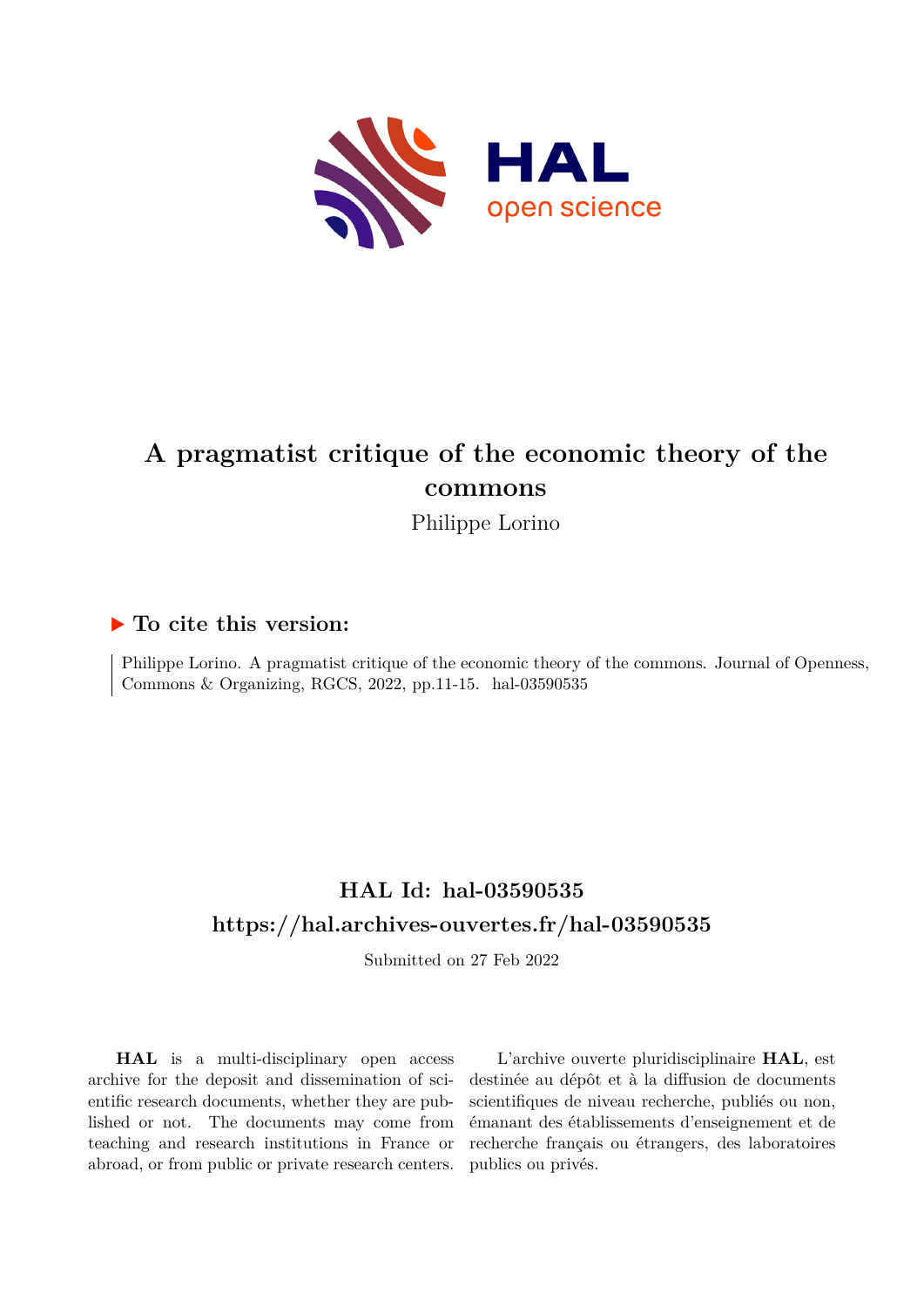

# **A pragmatist critique of the economic theory of the commons**

Philippe Lorino

### **To cite this version:**

Philippe Lorino. A pragmatist critique of the economic theory of the commons. Journal of Openness, Commons & Organizing, RGCS,  $2022$ , pp.11-15. hal-03590535

## **HAL Id: hal-03590535 <https://hal.archives-ouvertes.fr/hal-03590535>**

Submitted on 27 Feb 2022

**HAL** is a multi-disciplinary open access archive for the deposit and dissemination of scientific research documents, whether they are published or not. The documents may come from teaching and research institutions in France or abroad, or from public or private research centers.

L'archive ouverte pluridisciplinaire **HAL**, est destinée au dépôt et à la diffusion de documents scientifiques de niveau recherche, publiés ou non, émanant des établissements d'enseignement et de recherche français ou étrangers, des laboratoires publics ou privés.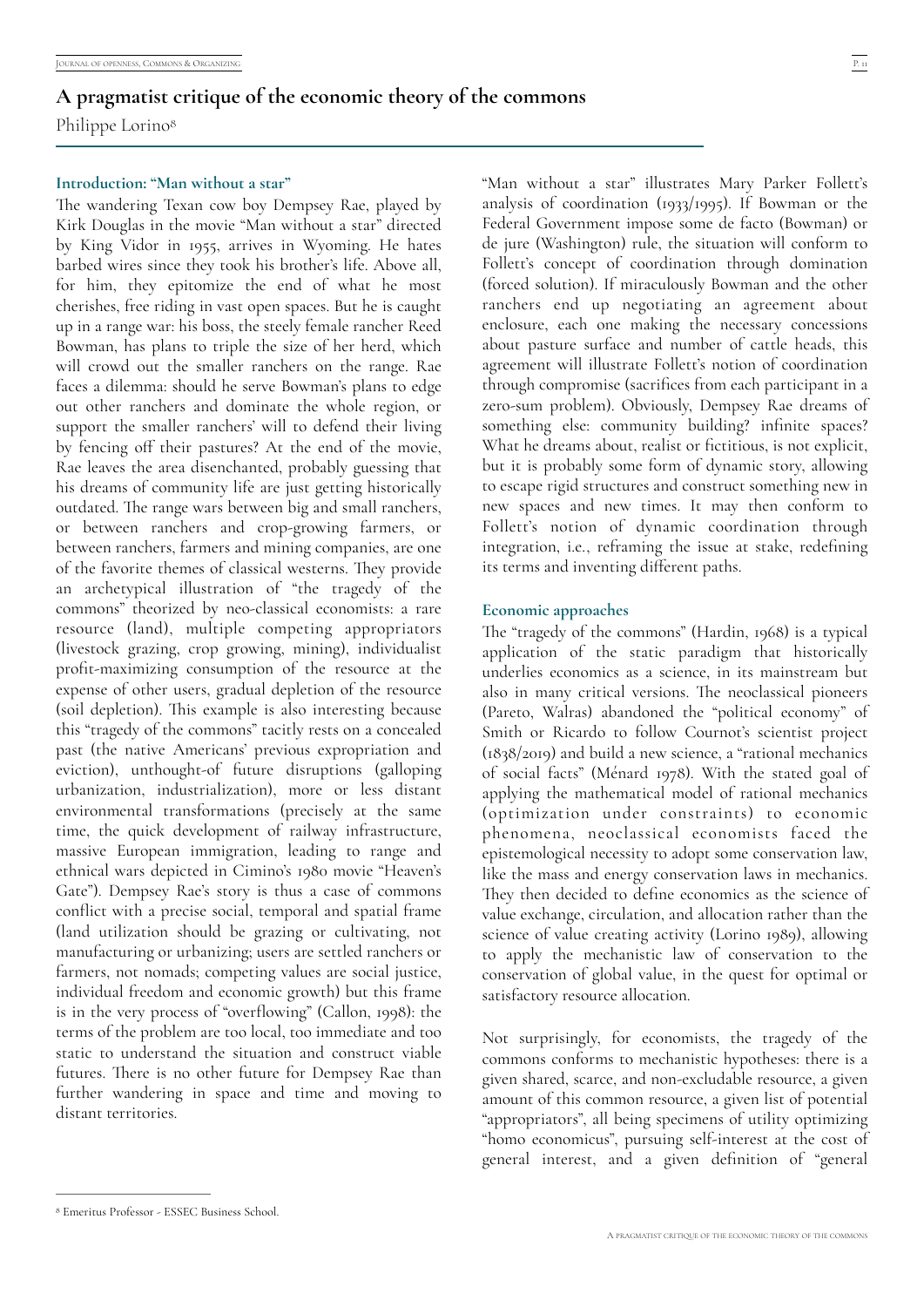<span id="page-1-1"></span>Philippe Lorino<sup>[8](#page-1-0)</sup>

#### **Introduction: "Man without a star"**

The wandering Texan cow boy Dempsey Rae, played by Kirk Douglas in the movie "Man without a star" directed by King Vidor in 1955, arrives in Wyoming. He hates barbed wires since they took his brother's life. Above all, for him, they epitomize the end of what he most cherishes, free riding in vast open spaces. But he is caught up in a range war: his boss, the steely female rancher Reed Bowman, has plans to triple the size of her herd, which will crowd out the smaller ranchers on the range. Rae faces a dilemma: should he serve Bowman's plans to edge out other ranchers and dominate the whole region, or support the smaller ranchers' will to defend their living by fencing off their pastures? At the end of the movie, Rae leaves the area disenchanted, probably guessing that his dreams of community life are just getting historically outdated. The range wars between big and small ranchers, or between ranchers and crop-growing farmers, or between ranchers, farmers and mining companies, are one of the favorite themes of classical westerns. They provide an archetypical illustration of "the tragedy of the commons" theorized by neo-classical economists: a rare resource (land), multiple competing appropriators (livestock grazing, crop growing, mining), individualist profit-maximizing consumption of the resource at the expense of other users, gradual depletion of the resource (soil depletion). This example is also interesting because this "tragedy of the commons" tacitly rests on a concealed past (the native Americans' previous expropriation and eviction), unthought-of future disruptions (galloping urbanization, industrialization), more or less distant environmental transformations (precisely at the same time, the quick development of railway infrastructure, massive European immigration, leading to range and ethnical wars depicted in Cimino's 1980 movie "Heaven's Gate"). Dempsey Rae's story is thus a case of commons conflict with a precise social, temporal and spatial frame (land utilization should be grazing or cultivating, not manufacturing or urbanizing; users are settled ranchers or farmers, not nomads; competing values are social justice, individual freedom and economic growth) but this frame is in the very process of "overflowing" (Callon, 1998): the terms of the problem are too local, too immediate and too static to understand the situation and construct viable futures. There is no other future for Dempsey Rae than further wandering in space and time and moving to distant territories.

"Man without a star" illustrates Mary Parker Follett's analysis of coordination (1933/1995). If Bowman or the Federal Government impose some de facto (Bowman) or de jure (Washington) rule, the situation will conform to Follett's concept of coordination through domination (forced solution). If miraculously Bowman and the other ranchers end up negotiating an agreement about enclosure, each one making the necessary concessions about pasture surface and number of cattle heads, this agreement will illustrate Follett's notion of coordination through compromise (sacrifices from each participant in a zero-sum problem). Obviously, Dempsey Rae dreams of something else: community building? infinite spaces? What he dreams about, realist or fictitious, is not explicit, but it is probably some form of dynamic story, allowing to escape rigid structures and construct something new in new spaces and new times. It may then conform to Follett's notion of dynamic coordination through integration, i.e., reframing the issue at stake, redefining its terms and inventing different paths.

#### **Economic approaches**

The "tragedy of the commons" (Hardin, 1968) is a typical application of the static paradigm that historically underlies economics as a science, in its mainstream but also in many critical versions. The neoclassical pioneers (Pareto, Walras) abandoned the "political economy" of Smith or Ricardo to follow Cournot's scientist project (1838/2019) and build a new science, a "rational mechanics of social facts" (Ménard 1978). With the stated goal of applying the mathematical model of rational mechanics (optimization under constraints) to economic phenomena, neoclassical economists faced the epistemological necessity to adopt some conservation law, like the mass and energy conservation laws in mechanics. They then decided to define economics as the science of value exchange, circulation, and allocation rather than the science of value creating activity (Lorino 1989), allowing to apply the mechanistic law of conservation to the conservation of global value, in the quest for optimal or satisfactory resource allocation.

Not surprisingly, for economists, the tragedy of the commons conforms to mechanistic hypotheses: there is a given shared, scarce, and non-excludable resource, a given amount of this common resource, a given list of potential "appropriators", all being specimens of utility optimizing "homo economicus", pursuing self-interest at the cost of general interest, and a given definition of "general

<span id="page-1-0"></span>Emeritus Professor - ESSEC Business School. [8](#page-1-1)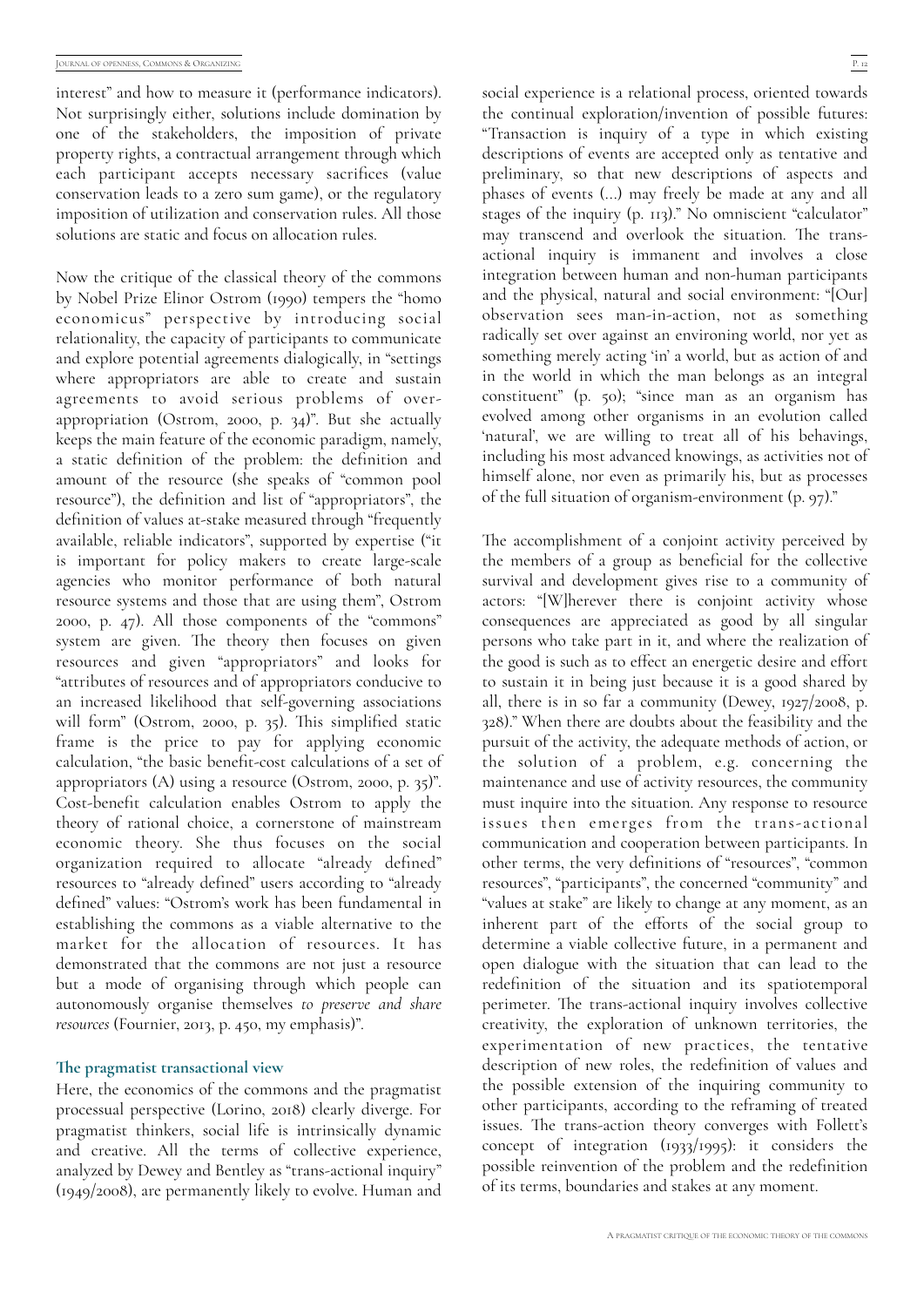interest" and how to measure it (performance indicators). Not surprisingly either, solutions include domination by one of the stakeholders, the imposition of private property rights, a contractual arrangement through which each participant accepts necessary sacrifices (value conservation leads to a zero sum game), or the regulatory imposition of utilization and conservation rules. All those solutions are static and focus on allocation rules.

Now the critique of the classical theory of the commons by Nobel Prize Elinor Ostrom (1990) tempers the "homo economicus" perspective by introducing social relationality, the capacity of participants to communicate and explore potential agreements dialogically, in "settings where appropriators are able to create and sustain agreements to avoid serious problems of overappropriation (Ostrom, 2000, p. 34)". But she actually keeps the main feature of the economic paradigm, namely, a static definition of the problem: the definition and amount of the resource (she speaks of "common pool resource"), the definition and list of "appropriators", the definition of values at-stake measured through "frequently available, reliable indicators", supported by expertise ("it is important for policy makers to create large-scale agencies who monitor performance of both natural resource systems and those that are using them", Ostrom 2000, p. 47). All those components of the "commons" system are given. The theory then focuses on given resources and given "appropriators" and looks for "attributes of resources and of appropriators conducive to an increased likelihood that self-governing associations will form" (Ostrom, 2000, p. 35). This simplified static frame is the price to pay for applying economic calculation, "the basic benefit-cost calculations of a set of appropriators (A) using a resource (Ostrom, 2000, p. 35)". Cost-benefit calculation enables Ostrom to apply the theory of rational choice, a cornerstone of mainstream economic theory. She thus focuses on the social organization required to allocate "already defined" resources to "already defined" users according to "already defined" values: "Ostrom's work has been fundamental in establishing the commons as a viable alternative to the market for the allocation of resources. It has demonstrated that the commons are not just a resource but a mode of organising through which people can autonomously organise themselves *to preserve and share resources* (Fournier, 2013, p. 450, my emphasis)".

#### **\$e pragmatist transactional view**

Here, the economics of the commons and the pragmatist processual perspective (Lorino, 2018) clearly diverge. For pragmatist thinkers, social life is intrinsically dynamic and creative. All the terms of collective experience, analyzed by Dewey and Bentley as "trans-actional inquiry" (1949/2008), are permanently likely to evolve. Human and

social experience is a relational process, oriented towards the continual exploration/invention of possible futures: "Transaction is inquiry of a type in which existing descriptions of events are accepted only as tentative and preliminary, so that new descriptions of aspects and phases of events (...) may freely be made at any and all stages of the inquiry (p. 113)." No omniscient "calculator" may transcend and overlook the situation. The transactional inquiry is immanent and involves a close integration between human and non-human participants and the physical, natural and social environment: "[Our] observation sees man-in-action, not as something radically set over against an environing world, nor yet as something merely acting 'in' a world, but as action of and in the world in which the man belongs as an integral constituent" (p. 50); "since man as an organism has evolved among other organisms in an evolution called 'natural', we are willing to treat all of his behavings, including his most advanced knowings, as activities not of himself alone, nor even as primarily his, but as processes of the full situation of organism-environment (p. 97)."

The accomplishment of a conjoint activity perceived by the members of a group as beneficial for the collective survival and development gives rise to a community of actors: "[W]herever there is conjoint activity whose consequences are appreciated as good by all singular persons who take part in it, and where the realization of the good is such as to effect an energetic desire and effort to sustain it in being just because it is a good shared by all, there is in so far a community (Dewey, 1927/2008, p. 328)." When there are doubts about the feasibility and the pursuit of the activity, the adequate methods of action, or the solution of a problem, e.g. concerning the maintenance and use of activity resources, the community must inquire into the situation. Any response to resource issues then emerges from the trans-actional communication and cooperation between participants. In other terms, the very definitions of "resources", "common resources", "participants", the concerned "community" and "values at stake" are likely to change at any moment, as an inherent part of the efforts of the social group to determine a viable collective future, in a permanent and open dialogue with the situation that can lead to the redefinition of the situation and its spatiotemporal perimeter. The trans-actional inquiry involves collective creativity, the exploration of unknown territories, the experimentation of new practices, the tentative description of new roles, the redefinition of values and the possible extension of the inquiring community to other participants, according to the reframing of treated issues. The trans-action theory converges with Follett's concept of integration (1933/1995): it considers the possible reinvention of the problem and the redefinition of its terms, boundaries and stakes at any moment.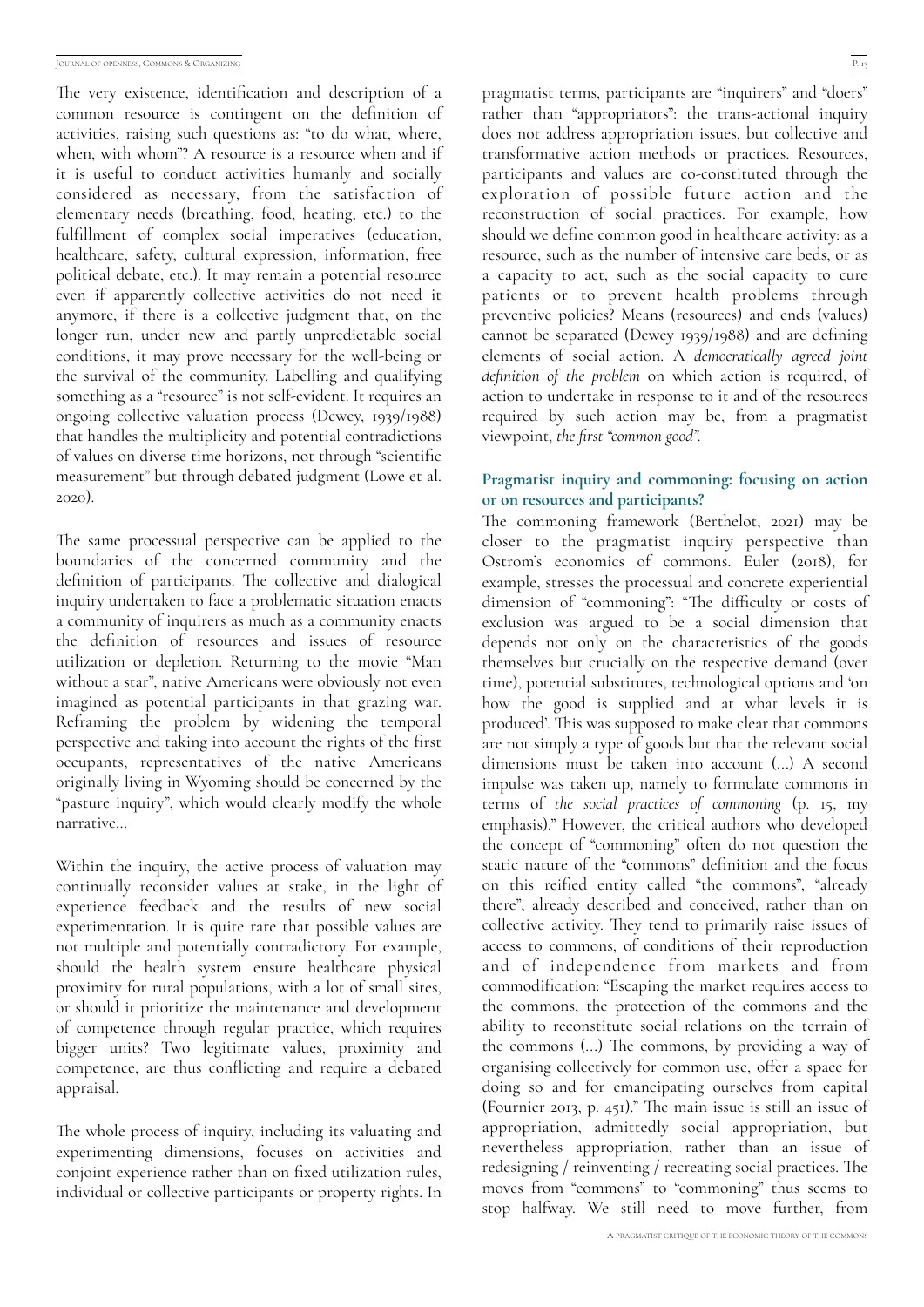The very existence, identification and description of a common resource is contingent on the definition of activities, raising such questions as: "to do what, where, when, with whom"? A resource is a resource when and if it is useful to conduct activities humanly and socially considered as necessary, from the satisfaction of elementary needs (breathing, food, heating, etc.) to the fulfillment of complex social imperatives (education, healthcare, safety, cultural expression, information, free political debate, etc.). It may remain a potential resource even if apparently collective activities do not need it anymore, if there is a collective judgment that, on the longer run, under new and partly unpredictable social conditions, it may prove necessary for the well-being or the survival of the community. Labelling and qualifying something as a "resource" is not self-evident. It requires an ongoing collective valuation process (Dewey, 1939/1988) that handles the multiplicity and potential contradictions of values on diverse time horizons, not through "scientific measurement" but through debated judgment (Lowe et al. 2020).

The same processual perspective can be applied to the boundaries of the concerned community and the definition of participants. The collective and dialogical inquiry undertaken to face a problematic situation enacts a community of inquirers as much as a community enacts the definition of resources and issues of resource utilization or depletion. Returning to the movie "Man without a star", native Americans were obviously not even imagined as potential participants in that grazing war. Reframing the problem by widening the temporal perspective and taking into account the rights of the first occupants, representatives of the native Americans originally living in Wyoming should be concerned by the "pasture inquiry", which would clearly modify the whole narrative…

Within the inquiry, the active process of valuation may continually reconsider values at stake, in the light of experience feedback and the results of new social experimentation. It is quite rare that possible values are not multiple and potentially contradictory. For example, should the health system ensure healthcare physical proximity for rural populations, with a lot of small sites, or should it prioritize the maintenance and development of competence through regular practice, which requires bigger units? Two legitimate values, proximity and competence, are thus conflicting and require a debated appraisal.

The whole process of inquiry, including its valuating and experimenting dimensions, focuses on activities and conjoint experience rather than on fixed utilization rules, individual or collective participants or property rights. In

pragmatist terms, participants are "inquirers" and "doers" rather than "appropriators": the trans-actional inquiry does not address appropriation issues, but collective and transformative action methods or practices. Resources, participants and values are co-constituted through the exploration of possible future action and the reconstruction of social practices. For example, how should we define common good in healthcare activity: as a resource, such as the number of intensive care beds, or as a capacity to act, such as the social capacity to cure patients or to prevent health problems through preventive policies? Means (resources) and ends (values) cannot be separated (Dewey 1939/1988) and are defining elements of social action. A *democratically agreed joint definition of the problem* on which action is required, of action to undertake in response to it and of the resources required by such action may be, from a pragmatist viewpoint, *the first "common good".*

#### **Pragmatist inquiry and commoning: focusing on action or on resources and participants?**

The commoning framework (Berthelot, 2021) may be closer to the pragmatist inquiry perspective than Ostrom's economics of commons. Euler (2018), for example, stresses the processual and concrete experiential dimension of "commoning": "The difficulty or costs of exclusion was argued to be a social dimension that depends not only on the characteristics of the goods themselves but crucially on the respective demand (over time), potential substitutes, technological options and 'on how the good is supplied and at what levels it is produced'. This was supposed to make clear that commons are not simply a type of goods but that the relevant social dimensions must be taken into account (...) A second impulse was taken up, namely to formulate commons in terms of *the social practices of commoning* (p. 15, my emphasis)." However, the critical authors who developed the concept of "commoning" often do not question the static nature of the "commons" definition and the focus on this reified entity called "the commons", "already there", already described and conceived, rather than on collective activity. They tend to primarily raise issues of access to commons, of conditions of their reproduction and of independence from markets and from commodification: "Escaping the market requires access to the commons, the protection of the commons and the ability to reconstitute social relations on the terrain of the commons  $(...)$  The commons, by providing a way of organising collectively for common use, offer a space for doing so and for emancipating ourselves from capital (Fournier 2013, p. 451)." The main issue is still an issue of appropriation, admittedly social appropriation, but nevertheless appropriation, rather than an issue of redesigning  $/$  reinventing  $/$  recreating social practices. The moves from "commons" to "commoning" thus seems to stop halfway. We still need to move further, from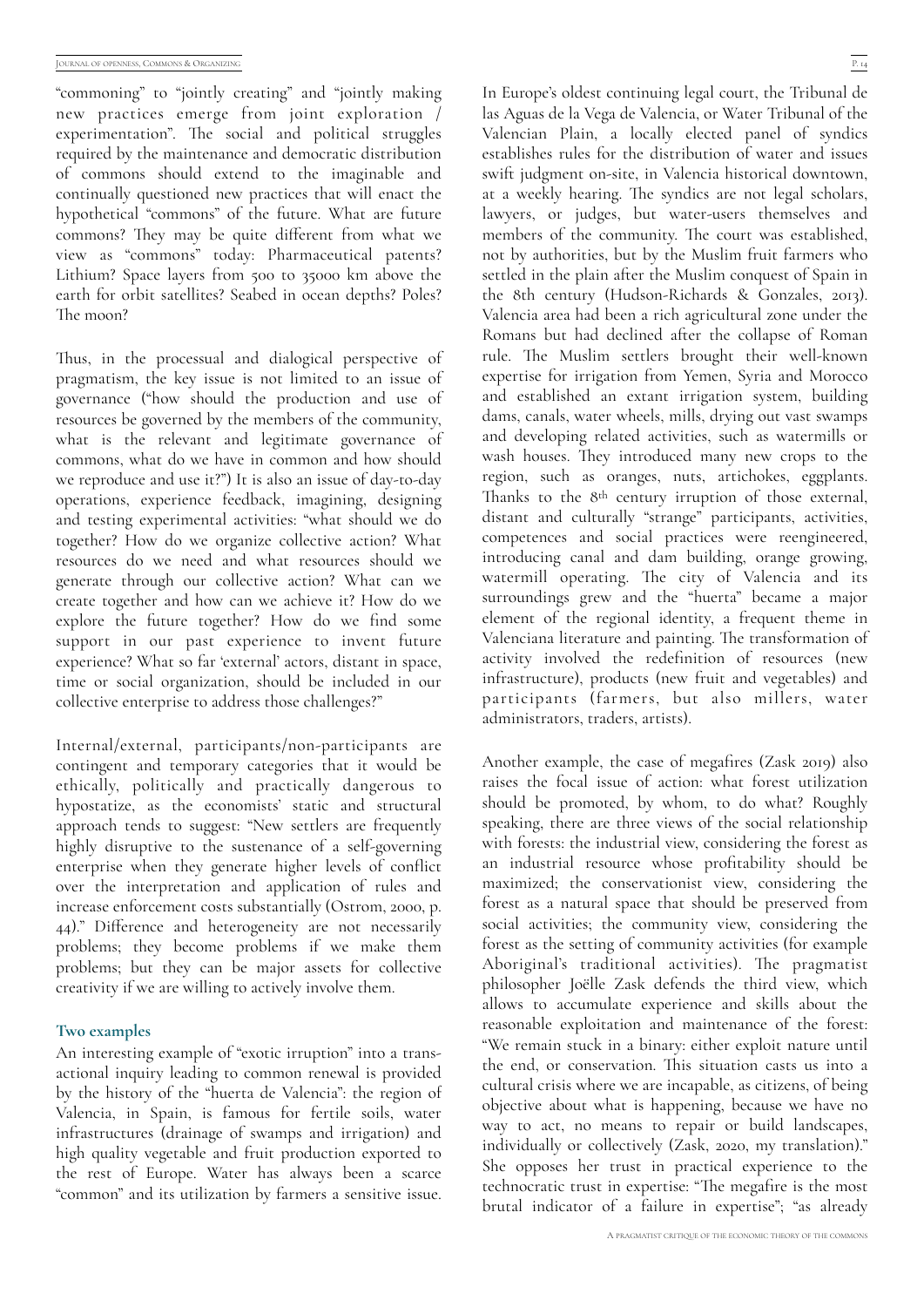"commoning" to "jointly creating" and "jointly making new practices emerge from joint exploration /  $experimentation$ ". The social and political struggles required by the maintenance and democratic distribution of commons should extend to the imaginable and continually questioned new practices that will enact the hypothetical "commons" of the future. What are future commons? They may be quite different from what we view as "commons" today: Pharmaceutical patents? Lithium? Space layers from 500 to 35000 km above the earth for orbit satellites? Seabed in ocean depths? Poles? The moon?

Thus, in the processual and dialogical perspective of pragmatism, the key issue is not limited to an issue of governance ("how should the production and use of resources be governed by the members of the community, what is the relevant and legitimate governance of commons, what do we have in common and how should we reproduce and use it?") It is also an issue of day-to-day operations, experience feedback, imagining, designing and testing experimental activities: "what should we do together? How do we organize collective action? What resources do we need and what resources should we generate through our collective action? What can we create together and how can we achieve it? How do we explore the future together? How do we find some support in our past experience to invent future experience? What so far 'external' actors, distant in space, time or social organization, should be included in our collective enterprise to address those challenges?"

Internal/external, participants/non-participants are contingent and temporary categories that it would be ethically, politically and practically dangerous to hypostatize, as the economists' static and structural approach tends to suggest: "New settlers are frequently highly disruptive to the sustenance of a self-governing enterprise when they generate higher levels of conflict over the interpretation and application of rules and increase enforcement costs substantially (Ostrom, 2000, p.  $(44)$ ." Difference and heterogeneity are not necessarily problems; they become problems if we make them problems; but they can be major assets for collective creativity if we are willing to actively involve them.

#### **Two examples**

An interesting example of "exotic irruption" into a transactional inquiry leading to common renewal is provided by the history of the "huerta de Valencia": the region of Valencia, in Spain, is famous for fertile soils, water infrastructures (drainage of swamps and irrigation) and high quality vegetable and fruit production exported to the rest of Europe. Water has always been a scarce "common" and its utilization by farmers a sensitive issue.

In Europe's oldest continuing legal court, the Tribunal de las Aguas de la Vega de Valencia, or Water Tribunal of the Valencian Plain, a locally elected panel of syndics establishes rules for the distribution of water and issues swift judgment on-site, in Valencia historical downtown, at a weekly hearing. The syndics are not legal scholars, lawyers, or judges, but water-users themselves and members of the community. The court was established, not by authorities, but by the Muslim fruit farmers who settled in the plain after the Muslim conquest of Spain in the 8th century (Hudson-Richards & Gonzales, 2013). Valencia area had been a rich agricultural zone under the Romans but had declined after the collapse of Roman rule. The Muslim settlers brought their well-known expertise for irrigation from Yemen, Syria and Morocco and established an extant irrigation system, building dams, canals, water wheels, mills, drying out vast swamps and developing related activities, such as watermills or wash houses. They introduced many new crops to the region, such as oranges, nuts, artichokes, eggplants. Thanks to the 8<sup>th</sup> century irruption of those external, distant and culturally "strange" participants, activities, competences and social practices were reengineered, introducing canal and dam building, orange growing, watermill operating. The city of Valencia and its surroundings grew and the "huerta" became a major element of the regional identity, a frequent theme in Valenciana literature and painting. The transformation of activity involved the redefinition of resources (new infrastructure), products (new fruit and vegetables) and participants (farmers, but also millers, water administrators, traders, artists).

Another example, the case of megafires  $(Zask 2019)$  also raises the focal issue of action: what forest utilization should be promoted, by whom, to do what? Roughly speaking, there are three views of the social relationship with forests: the industrial view, considering the forest as an industrial resource whose profitability should be maximized; the conservationist view, considering the forest as a natural space that should be preserved from social activities; the community view, considering the forest as the setting of community activities (for example Aboriginal's traditional activities). The pragmatist philosopher Joëlle Zask defends the third view, which allows to accumulate experience and skills about the reasonable exploitation and maintenance of the forest: "We remain stuck in a binary: either exploit nature until the end, or conservation. This situation casts us into a cultural crisis where we are incapable, as citizens, of being objective about what is happening, because we have no way to act, no means to repair or build landscapes, individually or collectively (Zask, 2020, my translation)." She opposes her trust in practical experience to the technocratic trust in expertise: "The megafire is the most brutal indicator of a failure in expertise"; "as already